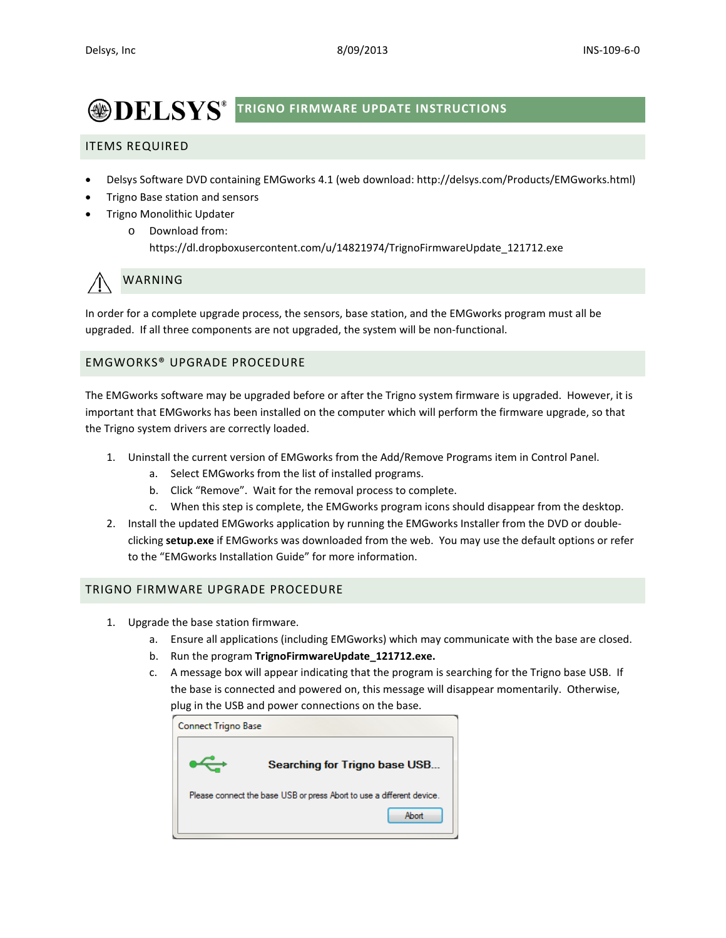# **<b>ODELSYS**<sup>®</sup> TRIGNO FIRMWARE UPDATE INSTRUCTIONS

## ITEMS REQUIRED

- Delsys Software DVD containing EMGworks 4.1 (web download: http://delsys.com/Products/EMGworks.html)
- Trigno Base station and sensors
- Trigno Monolithic Updater
	- o Download from: https://dl.dropboxusercontent.com/u/14821974/TrignoFirmwareUpdate\_121712.exe

## WARNING

In order for a complete upgrade process, the sensors, base station, and the EMGworks program must all be upgraded. If all three components are not upgraded, the system will be non-functional.

### EMGWORKS® UPGRADE PROCEDURE

The EMGworks software may be upgraded before or after the Trigno system firmware is upgraded. However, it is important that EMGworks has been installed on the computer which will perform the firmware upgrade, so that the Trigno system drivers are correctly loaded.

- 1. Uninstall the current version of EMGworks from the Add/Remove Programs item in Control Panel.
	- a. Select EMGworks from the list of installed programs.
	- b. Click "Remove". Wait for the removal process to complete.
	- c. When this step is complete, the EMGworks program icons should disappear from the desktop.
- 2. Install the updated EMGworks application by running the EMGworks Installer from the DVD or doubleclicking **setup.exe** if EMGworks was downloaded from the web. You may use the default options or refer to the "EMGworks Installation Guide" for more information.

#### TRIGNO FIRMWARE UPGRADE PROCEDURE

- 1. Upgrade the base station firmware.
	- a. Ensure all applications (including EMGworks) which may communicate with the base are closed.
	- b. Run the program **TrignoFirmwareUpdate\_121712.exe.**
	- c. A message box will appear indicating that the program is searching for the Trigno base USB. If the base is connected and powered on, this message will disappear momentarily. Otherwise, plug in the USB and power connections on the base.

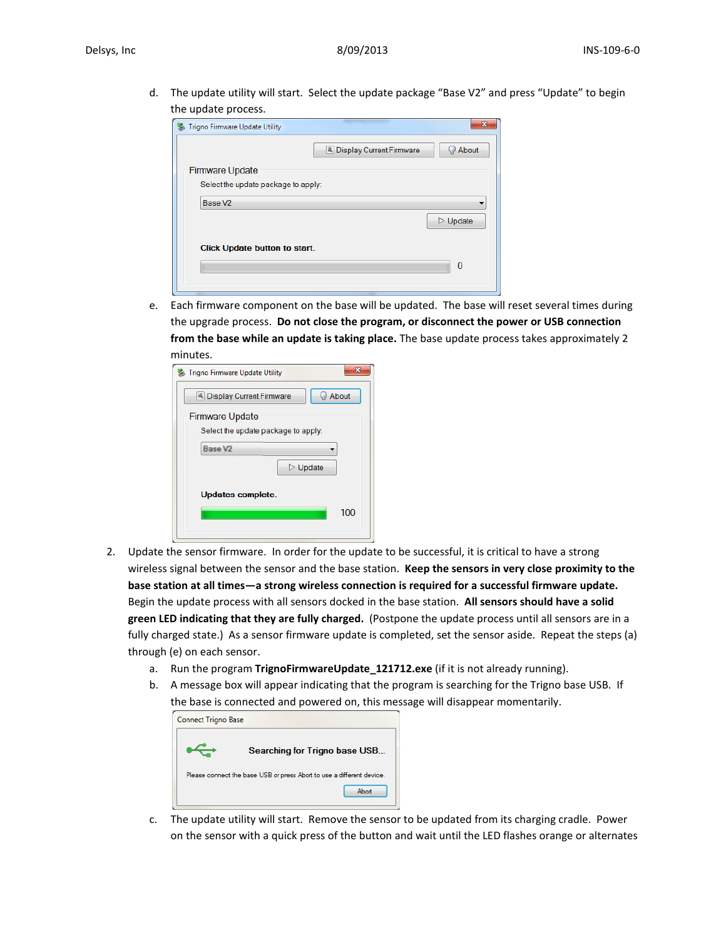d. The update utility will start. Select the update package "Base V2" and press "Update" to begin the update process.

| Trigno Firmware Update Utility       |                          |                         |
|--------------------------------------|--------------------------|-------------------------|
|                                      | Display Current Firmware | About                   |
| <b>Firmware Update</b>               |                          |                         |
| Select the update package to apply:  |                          |                         |
| Base V <sub>2</sub>                  |                          |                         |
|                                      |                          | $\triangleright$ Update |
| <b>Click Update button to start.</b> |                          | $\mathbf{0}$            |

e. Each firmware component on the base will be updated. The base will reset several times during the upgrade process. **Do not close the program, or disconnect the power or USB connection from the base while an update is taking place.** The base update process takes approximately 2 minutes.

| x<br>Trigno Firmware Update Utility            |  |  |
|------------------------------------------------|--|--|
| About<br><sup>3</sup> Display Current Firmware |  |  |
| <b>Firmware Update</b>                         |  |  |
| Select the update package to apply:            |  |  |
| Base V2                                        |  |  |
| $\triangleright$ Update                        |  |  |
| Updates complete.<br>100                       |  |  |
|                                                |  |  |

- 2. Update the sensor firmware. In order for the update to be successful, it is critical to have a strong wireless signal between the sensor and the base station. **Keep the sensors in very close proximity to the base station at all times—a strong wireless connection is required for a successful firmware update.** Begin the update process with all sensors docked in the base station. **All sensors should have a solid green LED indicating that they are fully charged.** (Postpone the update process until all sensors are in a fully charged state.) As a sensor firmware update is completed, set the sensor aside. Repeat the steps (a) through (e) on each sensor.
	- a. Run the program **TrignoFirmwareUpdate\_121712.exe** (if it is not already running).
	- b. A message box will appear indicating that the program is searching for the Trigno base USB. If the base is connected and powered on, this message will disappear momentarily.



c. The update utility will start. Remove the sensor to be updated from its charging cradle. Power on the sensor with a quick press of the button and wait until the LED flashes orange or alternates